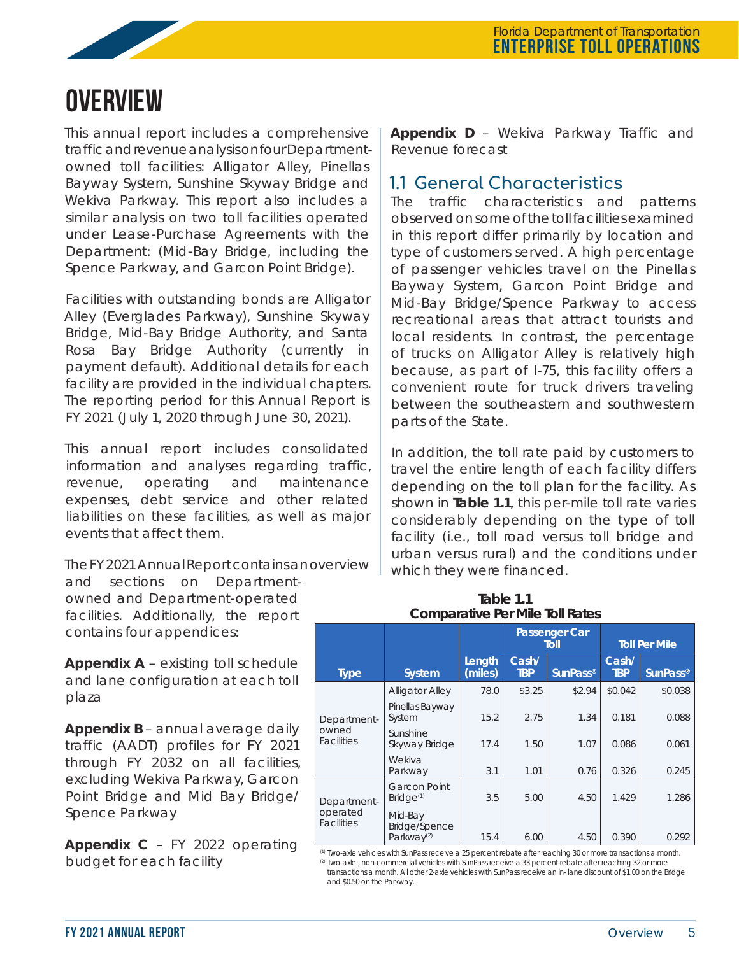

# **Overview**

This annual report includes a comprehensive traffic and revenue analysis on four Departmentowned toll facilities: Alligator Alley, Pinellas Bayway System, Sunshine Skyway Bridge and Wekiva Parkway. This report also includes a similar analysis on two toll facilities operated under Lease-Purchase Agreements with the Department: (Mid-Bay Bridge, including the Spence Parkway, and Garcon Point Bridge).

Facilities with outstanding bonds are Alligator Alley (Everglades Parkway), Sunshine Skyway Bridge, Mid-Bay Bridge Authority, and Santa Rosa Bay Bridge Authority (currently in payment default). Additional details for each facility are provided in the individual chapters. The reporting period for this Annual Report is FY 2021 (July 1, 2020 through June 30, 2021).

This annual report includes consolidated information and analyses regarding traffic, revenue, operating and maintenance expenses, debt service and other related liabilities on these facilities, as well as major events that affect them.

The FY 2021 Annual Report contains an overview

and sections on Departmentowned and Department-operated facilities. Additionally, the report contains four appendices:

**Appendix A** – existing toll schedule and lane configuration at each toll plaza

**Appendix B** – annual average daily traffic (AADT) profiles for FY 2021 through FY 2032 on all facilities, excluding Wekiva Parkway, Garcon Point Bridge and Mid Bay Bridge/ Spence Parkway

**Appendix C** – FY 2022 operating budget for each facility

**Appendix D** – Wekiva Parkway Traffic and Revenue forecast

# **1.1 General Characteristics**

The traffic characteristics and patterns observed on some of the toll facilities examined in this report differ primarily by location and type of customers served. A high percentage of passenger vehicles travel on the Pinellas Bayway System, Garcon Point Bridge and Mid-Bay Bridge/Spence Parkway to access recreational areas that attract tourists and local residents. In contrast, the percentage of trucks on Alligator Alley is relatively high because, as part of I-75, this facility offers a convenient route for truck drivers traveling between the southeastern and southwestern parts of the State.

In addition, the toll rate paid by customers to travel the entire length of each facility differs depending on the toll plan for the facility. As shown in **Table 1.1**, this per-mile toll rate varies considerably depending on the type of toll facility (i.e., toll road versus toll bridge and urban versus rural) and the conditions under which they were financed.

| COLLIDGEQUIVE FEL IVILIE TUIL NOICS          |                                                           |                   |                     |                              |                      |                 |  |  |  |
|----------------------------------------------|-----------------------------------------------------------|-------------------|---------------------|------------------------------|----------------------|-----------------|--|--|--|
|                                              |                                                           |                   |                     | <b>Passenger Car</b><br>Toll | <b>Toll Per Mile</b> |                 |  |  |  |
| <b>Type</b>                                  | <b>System</b>                                             | Length<br>(miles) | Cash/<br><b>TBP</b> | <b>SunPass®</b>              | Cash/<br><b>TBP</b>  | <b>SunPass®</b> |  |  |  |
|                                              | <b>Alligator Alley</b>                                    | 78.0              | \$3.25              | \$2.94                       | \$0.042              | \$0.038         |  |  |  |
| Department-<br>owned<br><b>Facilities</b>    | Pinellas Bayway<br>System                                 | 15.2              | 2.75                | 1.34                         | 0.181                | 0.088           |  |  |  |
|                                              | Sunshine<br>Skyway Bridge                                 | 17.4              | 1.50                | 1.07                         | 0.086                | 0.061           |  |  |  |
|                                              | Wekiva<br>Parkway                                         | 3.1               | 1.01                | 0.76                         | 0.326                | 0.245           |  |  |  |
| Department-<br>operated<br><b>Facilities</b> | <b>Garcon Point</b><br>Bridge <sup>(1)</sup>              | 3.5               | 5.00                | 4.50                         | 1.429                | 1.286           |  |  |  |
|                                              | Mid-Bay<br><b>Bridge/Spence</b><br>Parkway <sup>(2)</sup> | 15.4              | 6.00                | 4.50                         | 0.390                | 0.292           |  |  |  |

**Table 1.1 Comparative Per Mile Toll Rates**

(1) Two-axle vehicles with SunPass receive a 25 percent rebate after reaching 30 or more transactions a month. <sup>(2)</sup> Two-axle, non-commercial vehicles with SunPass receive a 33 percent rebate after reaching 32 or more transactions a month. All other 2-axle vehicles with SunPass receive an in- lane discount of \$1.00 on the Bridge and \$0.50 on the Parkway.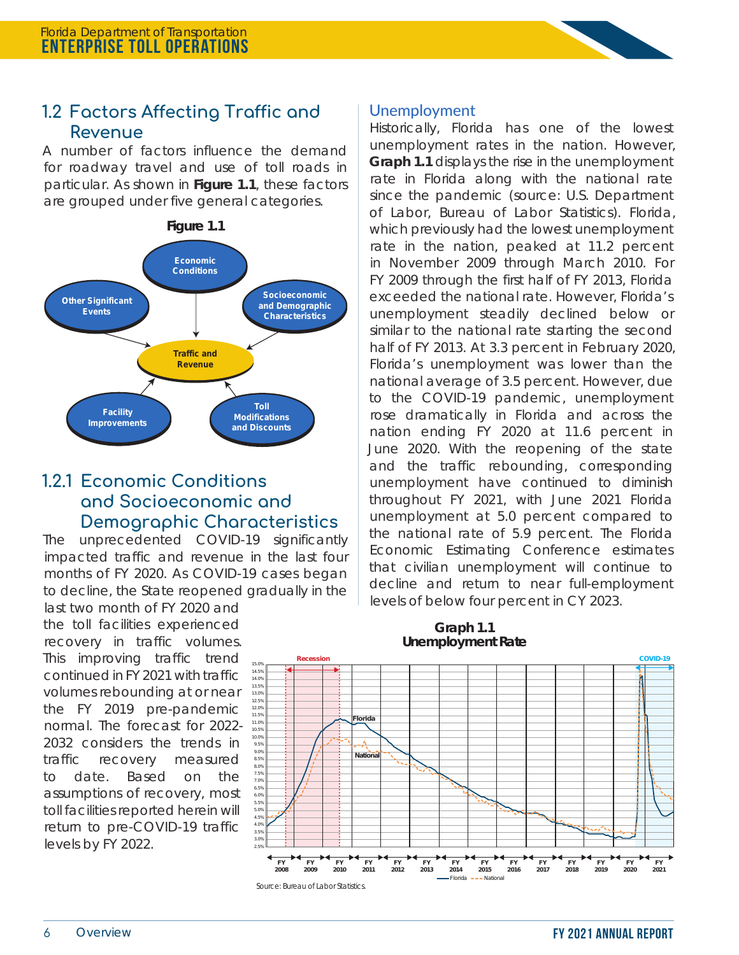

A number of factors influence the demand for roadway travel and use of toll roads in particular. As shown in **Figure 1.1**, these factors are grouped under five general categories.



## **1.2.1 Economic Conditions and Socioeconomic and Demographic Characteristics**

The unprecedented COVID-19 significantly impacted traffic and revenue in the last four months of FY 2020. As COVID-19 cases began to decline, the State reopened gradually in the

last two month of FY 2020 and the toll facilities experienced recovery in traffic volumes. This improving traffic trend continued in FY 2021 with traffic volumes rebounding at or near the FY 2019 pre-pandemic normal. The forecast for 2022- 2032 considers the trends in traffic recovery measured to date. Based on the assumptions of recovery, most toll facilities reported herein will return to pre-COVID-19 traffic levels by FY 2022.

#### Unemployment

Historically, Florida has one of the lowest unemployment rates in the nation. However, **Graph 1.1** displays the rise in the unemployment rate in Florida along with the national rate since the pandemic (source: U.S. Department of Labor, Bureau of Labor Statistics). Florida, which previously had the lowest unemployment rate in the nation, peaked at 11.2 percent in November 2009 through March 2010. For FY 2009 through the first half of FY 2013, Florida exceeded the national rate. However, Florida's unemployment steadily declined below or similar to the national rate starting the second half of FY 2013. At 3.3 percent in February 2020, Florida's unemployment was lower than the national average of 3.5 percent. However, due to the COVID-19 pandemic, unemployment rose dramatically in Florida and across the nation ending FY 2020 at 11.6 percent in June 2020. With the reopening of the state and the traffic rebounding, corresponding unemployment have continued to diminish throughout FY 2021, with June 2021 Florida unemployment at 5.0 percent compared to the national rate of 5.9 percent. The Florida Economic Estimating Conference estimates that civilian unemployment will continue to decline and return to near full-employment levels of below four percent in CY 2023.



#### **Graph 1.1 Unemployment Rate**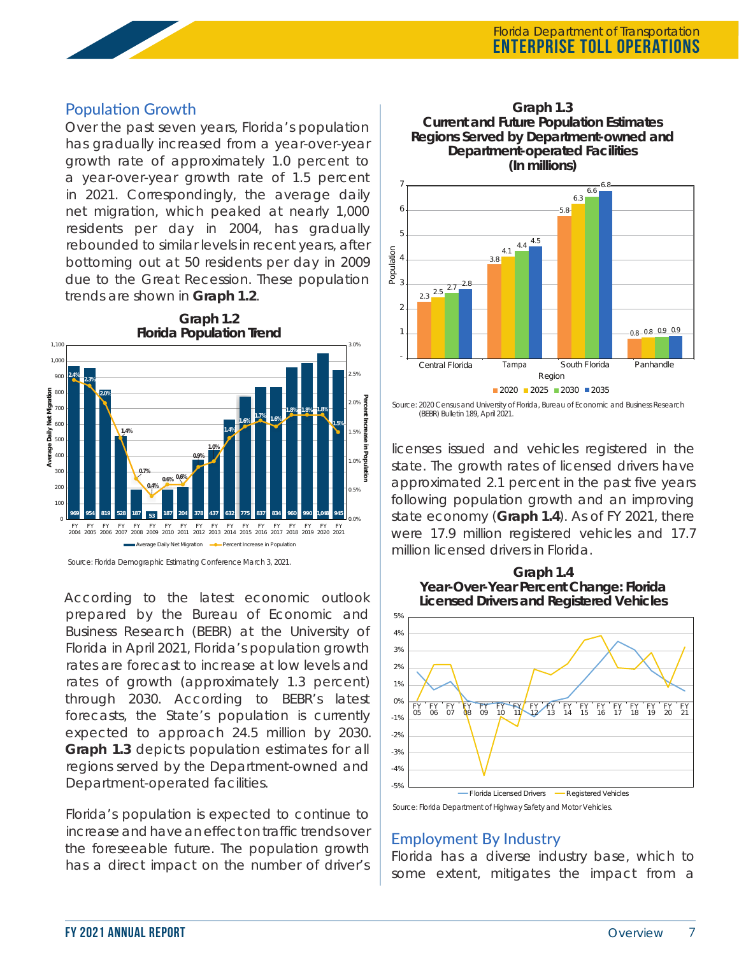## Population Growth

Over the past seven years, Florida's population has gradually increased from a year-over-year growth rate of approximately 1.0 percent to a year-over-year growth rate of 1.5 percent in 2021. Correspondingly, the average daily net migration, which peaked at nearly 1,000 residents per day in 2004, has gradually rebounded to similar levels in recent years, after bottoming out at 50 residents per day in 2009 due to the Great Recession. These population trends are shown in **Graph 1.2**.



Source: Florida Demographic Estimating Conference March 3, 2021.

According to the latest economic outlook prepared by the Bureau of Economic and Business Research (BEBR) at the University of Florida in April 2021, Florida's population growth rates are forecast to increase at low levels and rates of growth (approximately 1.3 percent) through 2030. According to BEBR's latest forecasts, the State's population is currently expected to approach 24.5 million by 2030. **Graph 1.3** depicts population estimates for all regions served by the Department-owned and Department-operated facilities.

Florida's population is expected to continue to increase and have an effect on traffic trends over the foreseeable future. The population growth has a direct impact on the number of driver's



Source: 2020 Census and University of Florida, Bureau of Economic and Business Research (BEBR) Bulletin 189, April 2021.

licenses issued and vehicles registered in the state. The growth rates of licensed drivers have approximated 2.1 percent in the past five years following population growth and an improving state economy (**Graph 1.4**). As of FY 2021, there were 17.9 million registered vehicles and 17.7 million licensed drivers in Florida.





Source: Florida Department of Highway Safety and Motor Vehicles.

#### Employment By Industry

Florida has a diverse industry base, which to some extent, mitigates the impact from a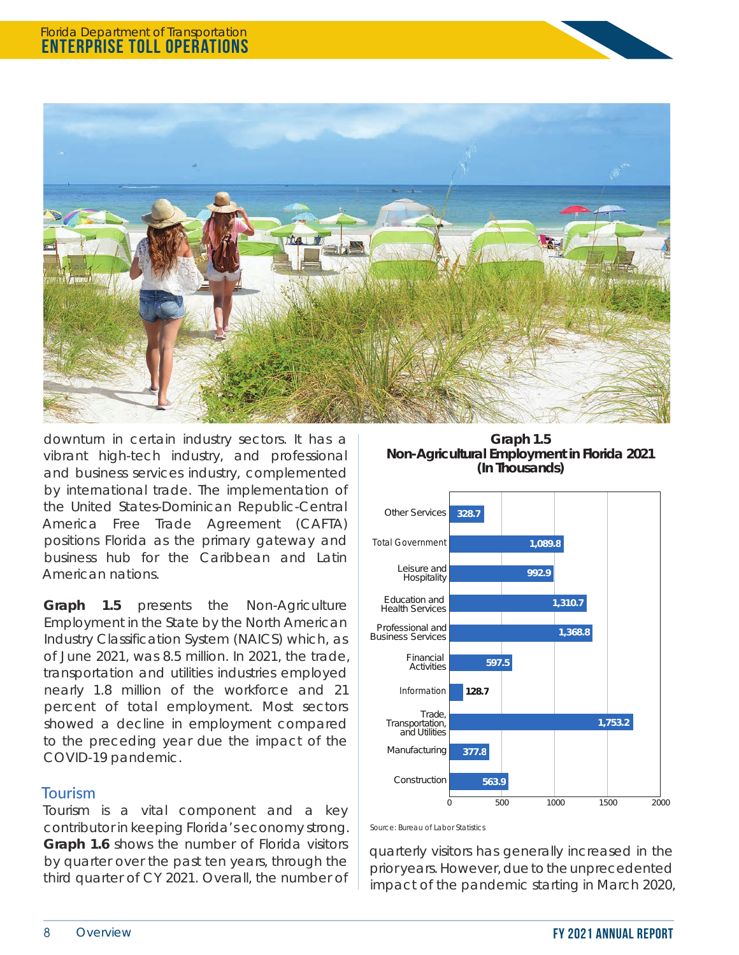

downturn in certain industry sectors. It has a vibrant high-tech industry, and professional and business services industry, complemented by international trade. The implementation of the United States-Dominican Republic-Central America Free Trade Agreement (CAFTA) positions Florida as the primary gateway and business hub for the Caribbean and Latin American nations.

**Graph 1.5** presents the Non-Agriculture Employment in the State by the North American Industry Classification System (NAICS) which, as of June 2021, was 8.5 million. In 2021, the trade, transportation and utilities industries employed nearly 1.8 million of the workforce and 21 percent of total employment. Most sectors showed a decline in employment compared to the preceding year due the impact of the COVID-19 pandemic.

### Tourism

Tourism is a vital component and a key contributor in keeping Florida's economy strong. **Graph 1.6** shows the number of Florida visitors by quarter over the past ten years, through the third quarter of CY 2021. Overall, the number of

**Graph 1.5 Non-Agricultural Employment in Florida 2021 (In Thousands)**



Source: Bureau of Labor Statistics

quarterly visitors has generally increased in the prior years. However, due to the unprecedented impact of the pandemic starting in March 2020,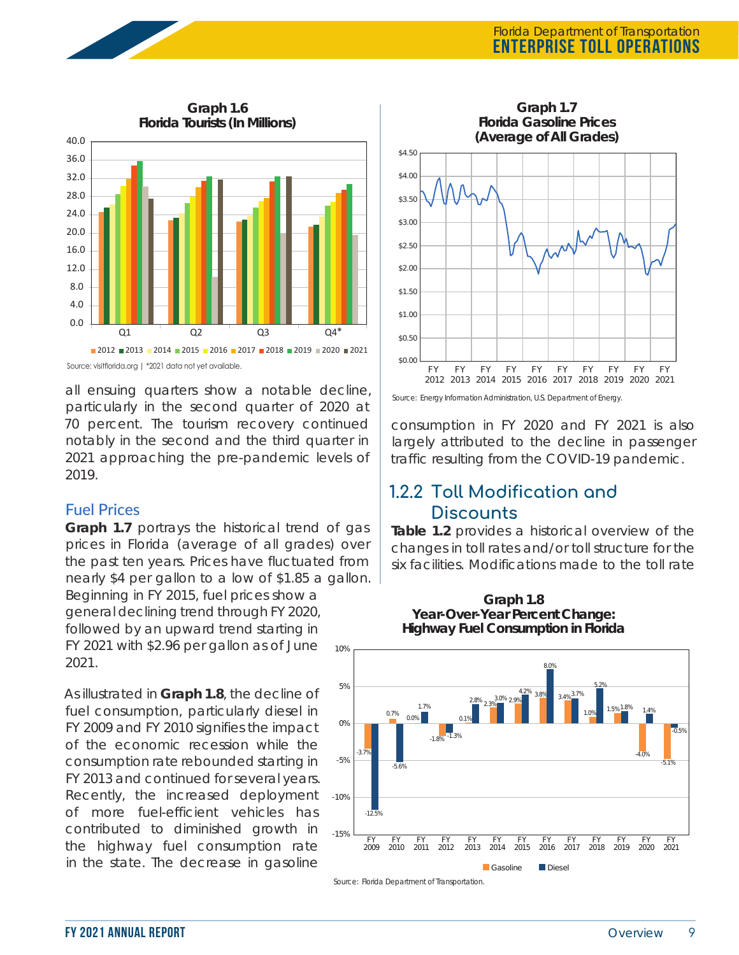

Source: visitflorida.org | \*2021 data not yet available.

all ensuing quarters show a notable decline, particularly in the second quarter of 2020 at 70 percent. The tourism recovery continued notably in the second and the third quarter in 2021 approaching the pre-pandemic levels of 2019.

#### Fuel Prices

**Graph 1.7** portrays the historical trend of gas prices in Florida (average of all grades) over the past ten years. Prices have fluctuated from nearly \$4 per gallon to a low of \$1.85 a gallon.

Beginning in FY 2015, fuel prices show a general declining trend through FY 2020, followed by an upward trend starting in FY 2021 with \$2.96 per gallon as of June 2021.

As illustrated in **Graph 1.8**, the decline of fuel consumption, particularly diesel in FY 2009 and FY 2010 signifies the impact of the economic recession while the consumption rate rebounded starting in FY 2013 and continued for several years. Recently, the increased deployment of more fuel-efficient vehicles has contributed to diminished growth in the highway fuel consumption rate in the state. The decrease in gasoline



Source: Energy Information Administration, U.S. Department of Energy

consumption in FY 2020 and FY 2021 is also largely attributed to the decline in passenger traffic resulting from the COVID-19 pandemic.

## **1.2.2 Toll Modification and Discounts**

**Table 1.2** provides a historical overview of the changes in toll rates and/or toll structure for the six facilities. Modifications made to the toll rate



**Graph 1.8 Year-Over-Year Percent Change: Highway Fuel Consumption in Florida**

Source: Florida Department of Transportation.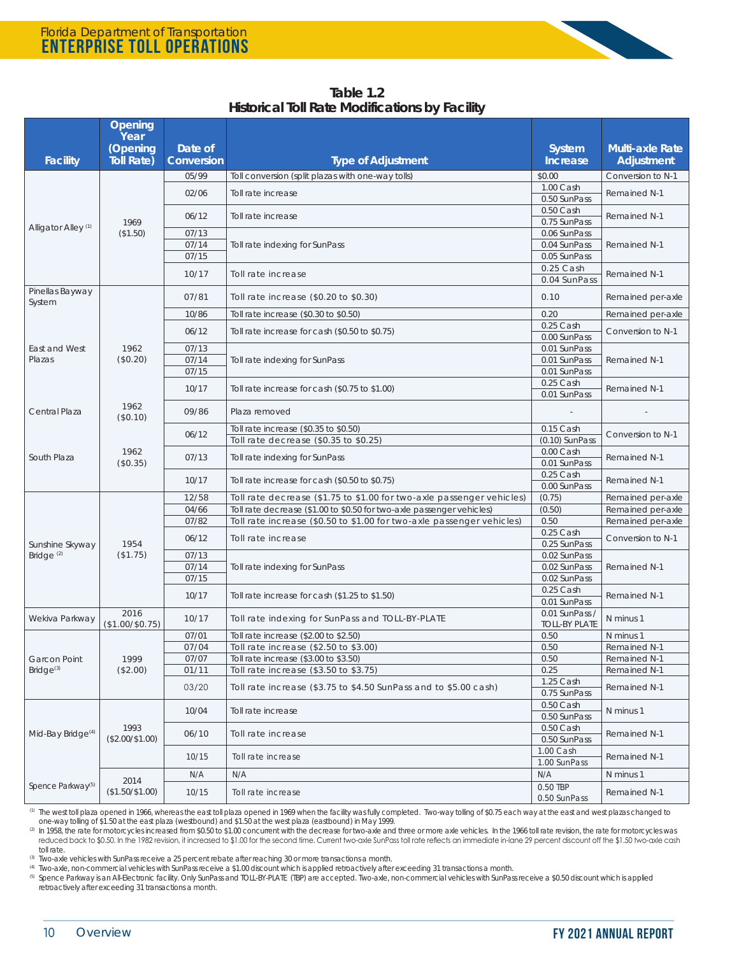| Table 1.2                                             |  |
|-------------------------------------------------------|--|
| <b>Historical Toll Rate Modifications by Facility</b> |  |

|                                                           | Opening                   |                       |                                                                       |                                |                                             |  |
|-----------------------------------------------------------|---------------------------|-----------------------|-----------------------------------------------------------------------|--------------------------------|---------------------------------------------|--|
|                                                           | Year                      |                       |                                                                       |                                |                                             |  |
| <b>Facility</b>                                           | (Opening<br>Toll Rate)    | Date of<br>Conversion | <b>Type of Adjustment</b>                                             | System<br><b>Increase</b>      | <b>Multi-axle Rate</b><br><b>Adjustment</b> |  |
|                                                           |                           |                       |                                                                       |                                |                                             |  |
|                                                           |                           | 05/99                 | Toll conversion (split plazas with one-way tolls)                     | \$0.00<br>1.00 Cash            | Conversion to N-1                           |  |
|                                                           |                           | 02/06                 | Toll rate increase                                                    | 0.50 SunPass                   | <b>Remained N-1</b>                         |  |
|                                                           | 1969                      | 06/12                 | Toll rate increase                                                    | 0.50 Cash<br>0.75 SunPass      | Remained N-1                                |  |
| Alligator Alley <sup>(1)</sup>                            | (\$1.50)                  | 07/13                 |                                                                       | 0.06 SunPass                   |                                             |  |
|                                                           |                           | 07/14                 | Toll rate indexing for SunPass                                        | 0.04 SunPass                   | <b>Remained N-1</b>                         |  |
|                                                           |                           | 07/15                 |                                                                       | 0.05 SunPass                   |                                             |  |
|                                                           |                           | 10/17                 | Toll rate increase                                                    | $0.25$ Cash<br>0.04 SunPass    | Remained N-1                                |  |
| Pinellas Bayway<br>System                                 |                           | 07/81                 | Toll rate increase (\$0.20 to \$0.30)                                 | 0.10                           | Remained per-axle                           |  |
|                                                           |                           | 10/86                 | Toll rate increase (\$0.30 to \$0.50)                                 | 0.20                           | Remained per-axle                           |  |
|                                                           |                           | 06/12                 | Toll rate increase for cash (\$0.50 to \$0.75)                        | 0.25 Cash<br>0.00 SunPass      | Conversion to N-1                           |  |
| East and West                                             | 1962                      | 07/13                 |                                                                       | 0.01 SunPass                   |                                             |  |
| Plazas                                                    | (\$0.20)                  | 07/14                 | Toll rate indexing for SunPass                                        | 0.01 SunPass                   | Remained N-1                                |  |
|                                                           |                           | 07/15                 |                                                                       | 0.01 SunPass<br>0.25 Cash      |                                             |  |
|                                                           |                           | 10/17                 | Toll rate increase for cash (\$0.75 to \$1.00)                        | 0.01 SunPass                   | Remained N-1                                |  |
| Central Plaza                                             | 1962<br>09/86<br>(\$0.10) |                       | Plaza removed                                                         |                                |                                             |  |
|                                                           |                           | 06/12                 | Toll rate increase (\$0.35 to \$0.50)                                 | 0.15 Cash                      | Conversion to N-1                           |  |
|                                                           | 1962<br>(\$0.35)          |                       | Toll rate decrease (\$0.35 to \$0.25)                                 | $(0.10)$ SunPass               |                                             |  |
| South Plaza                                               |                           | 07/13                 | Toll rate indexing for SunPass                                        | 0.00 Cash<br>0.01 SunPass      | Remained N-1                                |  |
|                                                           |                           | 10/17                 | Toll rate increase for cash (\$0.50 to \$0.75)                        | $0.25$ Cash<br>0.00 SunPass    | Remained N-1                                |  |
|                                                           |                           | 12/58                 | Toll rate decrease (\$1.75 to \$1.00 for two-axle passenger vehicles) | (0.75)                         | Remained per-axle                           |  |
|                                                           |                           | 04/66                 | Toll rate decrease (\$1.00 to \$0.50 for two-axle passenger vehicles) | (0.50)                         | Remained per-axle                           |  |
|                                                           | 1954<br>(\$1.75)          | 07/82                 | Toll rate increase (\$0.50 to \$1.00 for two-axle passenger vehicles) | 0.50                           | Remained per-axle                           |  |
| Sunshine Skyway                                           |                           | 06/12                 | Toll rate increase                                                    | 0.25 Cash<br>0.25 SunPass      | Conversion to N-1                           |  |
| Bridge <sup>(2)</sup>                                     |                           | 07/13                 |                                                                       | 0.02 SunPass                   |                                             |  |
|                                                           |                           | 07/14                 | Toll rate indexing for SunPass                                        | 0.02 SunPass                   | <b>Remained N-1</b>                         |  |
|                                                           |                           | 07/15                 |                                                                       | 0.02 SunPass                   |                                             |  |
|                                                           |                           | 10/17                 | Toll rate increase for cash (\$1.25 to \$1.50)                        | 0.25 Cash                      | Remained N-1                                |  |
|                                                           | 2016                      |                       |                                                                       | 0.01 SunPass<br>0.01 SunPass / |                                             |  |
| Wekiva Parkway                                            | $($1.00/\$0.75)$          | 10/17                 | Toll rate indexing for SunPass and TOLL-BY-PLATE                      | <b>TOLL-BY PLATE</b>           | N minus 1                                   |  |
|                                                           |                           | 07/01                 | Toll rate increase (\$2.00 to \$2.50)                                 | 0.50                           | N minus 1                                   |  |
|                                                           |                           | 07/04                 | Toll rate increase (\$2.50 to \$3.00)                                 | 0.50                           | Remained N-1                                |  |
| Garcon Point                                              | 1999                      | 07/07                 | Toll rate increase (\$3.00 to \$3.50)                                 | $0.50\,$                       | Remained N-1                                |  |
| Bridge <sup>(3)</sup>                                     | (\$2.00)                  | 01/11                 | Toll rate increase (\$3.50 to \$3.75)                                 | 0.25                           | Remained N-1                                |  |
|                                                           |                           | 03/20                 | Toll rate increase (\$3.75 to \$4.50 SunPass and to \$5.00 cash)      | 1.25 Cash<br>0.75 SunPass      | Remained N-1                                |  |
|                                                           |                           | 10/04                 | Toll rate increase                                                    | 0.50 Cash<br>0.50 SunPass      | N minus 1                                   |  |
| Mid-Bay Bridge <sup>(4)</sup>                             | 1993<br>$($2.00/\$1.00)$  | 06/10                 | Toll rate increase                                                    | 0.50 Cash<br>0.50 SunPass      | Remained N-1                                |  |
|                                                           |                           | 10/15                 | Toll rate increase                                                    | 1.00 Cash<br>1.00 SunPass      | Remained N-1                                |  |
|                                                           |                           | N/A                   | N/A                                                                   | N/A                            | N minus 1                                   |  |
| 2014<br>Spence Parkway <sup>(5)</sup><br>$($1.50/\$1.00)$ |                           | 10/15                 | Toll rate increase                                                    | 0.50 TBP<br>0.50 SunPass       | Remained N-1                                |  |

<sup>(1)</sup> The west toll plaza opened in 1966, whereas the east toll plaza opened in 1969 when the facility was fully completed. Two-way tolling of \$0.75 each way at the east and west plazas changed to one-way tolling of \$1.50 at the east plaza (westbound) and \$1.50 at the west plaza (eastbound) in May 1999.

(2) In 1958, the rate for motorcycles increased from \$0.50 to \$1.00 concurrent with the decrease for two-axle and three or more axle vehicles. In the 1966 toll rate revision, the rate for motorcycles was reduced back to \$0.50. In the 1982 revision, it increased to \$1.00 for the second time. Current two-axle SunPass toll rate reflects an immediate in-lane 29 percent discount off the \$1.50 two-axle cash toll rate.

(3) Two-axle vehicles with SunPass receive a 25 percent rebate after reaching 30 or more transactions a month.<br>(4) Two-axle, non-commercial vehicles with SunPass receive a \$1.00 discount which is applied retroactively afte

(5) Spence Parkway is an All-Electronic facility. Only SunPass and TOLL-BY-PLATE (TBP) are accepted. Two-axle, non-commercial vehicles with SunPass receive a \$0.50 discount which is applied retroactively after exceeding 31 transactions a month.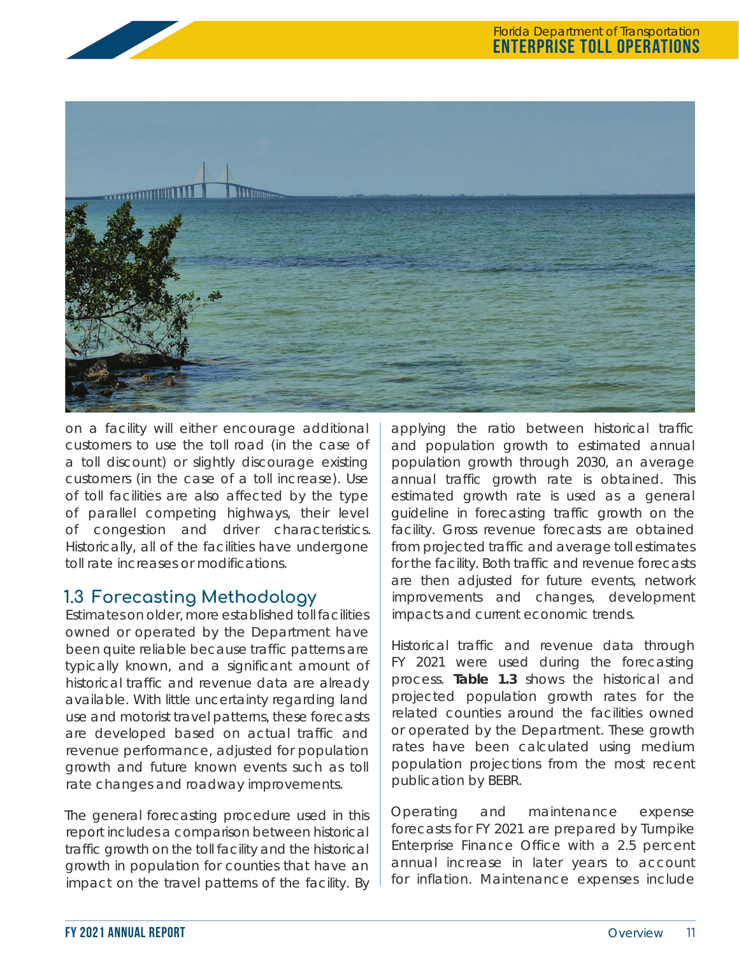

on a facility will either encourage additional customers to use the toll road (in the case of a toll discount) or slightly discourage existing customers (in the case of a toll increase). Use of toll facilities are also affected by the type of parallel competing highways, their level of congestion and driver characteristics. Historically, all of the facilities have undergone toll rate increases or modifications.

# **1.3 Forecasting Methodology**

Estimates on older, more established toll facilities owned or operated by the Department have been quite reliable because traffic patterns are typically known, and a significant amount of historical traffic and revenue data are already available. With little uncertainty regarding land use and motorist travel patterns, these forecasts are developed based on actual traffic and revenue performance, adjusted for population growth and future known events such as toll rate changes and roadway improvements.

The general forecasting procedure used in this report includes a comparison between historical traffic growth on the toll facility and the historical growth in population for counties that have an impact on the travel patterns of the facility. By applying the ratio between historical traffic and population growth to estimated annual population growth through 2030, an average annual traffic growth rate is obtained. This estimated growth rate is used as a general guideline in forecasting traffic growth on the facility. Gross revenue forecasts are obtained from projected traffic and average toll estimates for the facility. Both traffic and revenue forecasts are then adjusted for future events, network improvements and changes, development impacts and current economic trends.

Historical traffic and revenue data through FY 2021 were used during the forecasting process. **Table 1.3** shows the historical and projected population growth rates for the related counties around the facilities owned or operated by the Department. These growth rates have been calculated using medium population projections from the most recent publication by BEBR.

Operating and maintenance expense forecasts for FY 2021 are prepared by Turnpike Enterprise Finance Office with a 2.5 percent annual increase in later years to account for inflation. Maintenance expenses include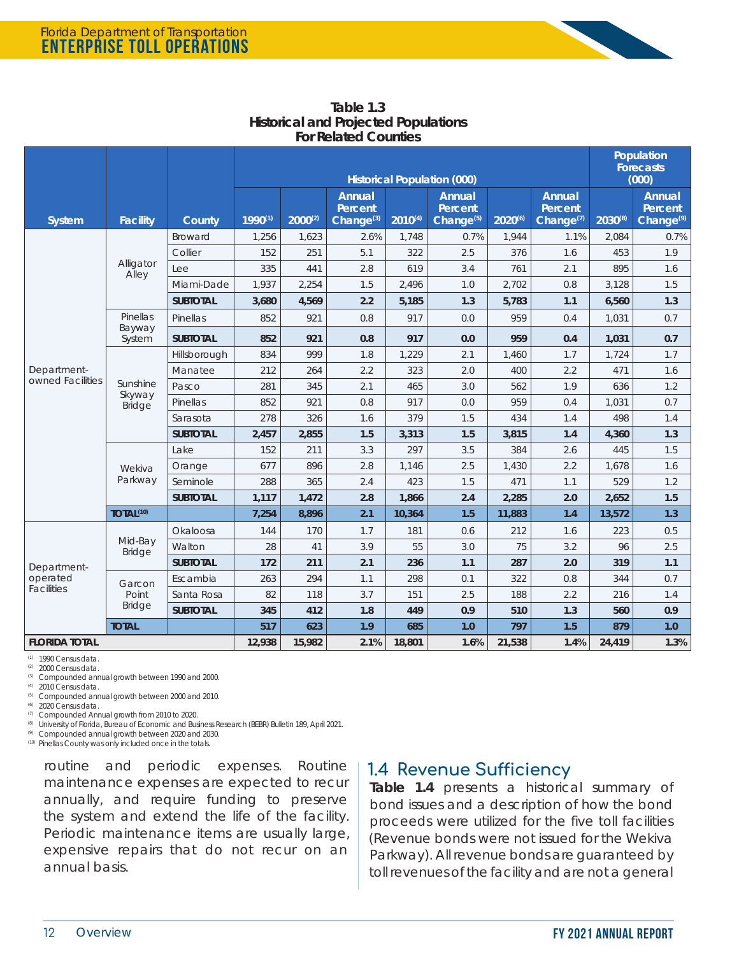|                               |                                     |                 | <b>Historical Population (000)</b> |              |                                            |              |                                            |         | Population<br><b>Forecasts</b><br>(000) |              |                                            |
|-------------------------------|-------------------------------------|-----------------|------------------------------------|--------------|--------------------------------------------|--------------|--------------------------------------------|---------|-----------------------------------------|--------------|--------------------------------------------|
| <b>System</b>                 | <b>Facility</b>                     | County          | $1990^{(1)}$                       | $2000^{(2)}$ | Annual<br>Percent<br>Change <sup>(3)</sup> | $2010^{(4)}$ | Annual<br>Percent<br>Change <sup>(5)</sup> | 2020(6) | Annual<br>Percent<br>Change $(7)$       | $2030^{(8)}$ | Annual<br>Percent<br>Change <sup>(9)</sup> |
|                               |                                     | <b>Broward</b>  | 1,256                              | 1,623        | 2.6%                                       | 1,748        | 0.7%                                       | 1,944   | 1.1%                                    | 2,084        | 0.7%                                       |
|                               |                                     | Collier         | 152                                | 251          | 5.1                                        | 322          | 2.5                                        | 376     | 1.6                                     | 453          | 1.9                                        |
|                               | Alligator<br>Alley                  | Lee             | 335                                | 441          | 2.8                                        | 619          | 3.4                                        | 761     | 2.1                                     | 895          | 1.6                                        |
|                               |                                     | Miami-Dade      | 1,937                              | 2,254        | 1.5                                        | 2,496        | 1.0                                        | 2,702   | 0.8                                     | 3,128        | 1.5                                        |
|                               |                                     | <b>SUBTOTAL</b> | 3,680                              | 4,569        | 2.2                                        | 5,185        | 1.3                                        | 5,783   | 1.1                                     | 6,560        | 1.3                                        |
|                               | Pinellas<br>Bayway                  | Pinellas        | 852                                | 921          | 0.8                                        | 917          | 0.0                                        | 959     | 0.4                                     | 1,031        | 0.7                                        |
|                               | System                              | <b>SUBTOTAL</b> | 852                                | 921          | 0.8                                        | 917          | 0.0                                        | 959     | 0.4                                     | 1,031        | 0.7                                        |
|                               |                                     | Hillsborough    | 834                                | 999          | 1.8                                        | 1,229        | 2.1                                        | 1,460   | 1.7                                     | 1,724        | 1.7                                        |
| Department-                   | Sunshine<br>Skyway<br><b>Bridge</b> | Manatee         | 212                                | 264          | 2.2                                        | 323          | 2.0                                        | 400     | 2.2                                     | 471          | 1.6                                        |
| owned Facilities              |                                     | Pasco           | 281                                | 345          | 2.1                                        | 465          | 3.0                                        | 562     | 1.9                                     | 636          | 1.2                                        |
|                               |                                     | Pinellas        | 852                                | 921          | 0.8                                        | 917          | 0.0                                        | 959     | 0.4                                     | 1,031        | 0.7                                        |
|                               |                                     | Sarasota        | 278                                | 326          | 1.6                                        | 379          | 1.5                                        | 434     | 1.4                                     | 498          | 1.4                                        |
|                               |                                     | <b>SUBTOTAL</b> | 2,457                              | 2,855        | 1.5                                        | 3,313        | 1.5                                        | 3,815   | 1.4                                     | 4,360        | 1.3                                        |
|                               | Wekiva<br>Parkway                   | Lake            | 152                                | 211          | 3.3                                        | 297          | 3.5                                        | 384     | 2.6                                     | 445          | 1.5                                        |
|                               |                                     | Orange          | 677                                | 896          | 2.8                                        | 1.146        | 2.5                                        | 1,430   | 2.2                                     | 1,678        | 1.6                                        |
|                               |                                     | Seminole        | 288                                | 365          | 2.4                                        | 423          | 1.5                                        | 471     | 1.1                                     | 529          | 1.2                                        |
|                               |                                     | <b>SUBTOTAL</b> | 1,117                              | 1,472        | 2.8                                        | 1,866        | 2.4                                        | 2,285   | 2.0                                     | 2,652        | 1.5                                        |
|                               | TOTAL <sup>(10)</sup>               |                 | 7,254                              | 8,896        | 2.1                                        | 10,364       | 1.5                                        | 11,883  | 1.4                                     | 13,572       | 1.3                                        |
|                               | Mid-Bay                             | Okaloosa        | 144                                | 170          | 1.7                                        | 181          | 0.6                                        | 212     | 1.6                                     | 223          | 0.5                                        |
|                               | <b>Bridge</b>                       | Walton          | 28                                 | 41           | 3.9                                        | 55           | 3.0                                        | 75      | 3.2                                     | 96           | 2.5                                        |
| Department-                   |                                     | <b>SUBTOTAL</b> | 172                                | 211          | 2.1                                        | 236          | 1.1                                        | 287     | 2.0                                     | 319          | 1.1                                        |
| operated<br><b>Facilities</b> | Garcon                              | Escambia        | 263                                | 294          | 1.1                                        | 298          | 0.1                                        | 322     | 0.8                                     | 344          | 0.7                                        |
|                               | Point<br><b>Bridge</b>              | Santa Rosa      | 82                                 | 118          | 3.7                                        | 151          | 2.5                                        | 188     | 2.2                                     | 216          | 1.4                                        |
|                               |                                     | <b>SUBTOTAL</b> | 345                                | 412          | 1.8                                        | 449          | 0.9                                        | 510     | 1.3                                     | 560          | 0.9                                        |
| <b>TOTAL</b>                  |                                     |                 | 517                                | 623          | 1.9                                        | 685          | 1.0                                        | 797     | 1.5                                     | 879          | 1.0                                        |
| <b>FLORIDA TOTAL</b>          |                                     |                 | 12,938                             | 15,982       | 2.1%                                       | 18,801       | 1.6%                                       | 21,538  | 1.4%                                    | 24,419       | 1.3%                                       |

**Table 1.3 Historical and Projected Populations For Related Counties**

(1) 1990 Census data. (2) 2000 Census data.

(3) Compounded annual growth between 1990 and 2000.

(4) 2010 Census data.

(5) Compounded annual growth between 2000 and 2010.

(6) 2020 Census data.

(7) Compounded Annual growth from 2010 to 2020.

<sup>(8)</sup> University of Florida, Bureau of Economic and Business Research (BEBR) Bulletin 189, April 2021.<br>(8) Compounded annual growth between 2020 and 2030.

Compounded annual growth between 2020 and 2030.

(10) Pinellas County was only included once in the totals.

routine and periodic expenses. Routine maintenance expenses are expected to recur annually, and require funding to preserve the system and extend the life of the facility. Periodic maintenance items are usually large, expensive repairs that do not recur on an annual basis.

## **1.4 Revenue Sufficiency**

**Table 1.4** presents a historical summary of bond issues and a description of how the bond proceeds were utilized for the five toll facilities (Revenue bonds were not issued for the Wekiva Parkway). All revenue bonds are guaranteed by toll revenues of the facility and are not a general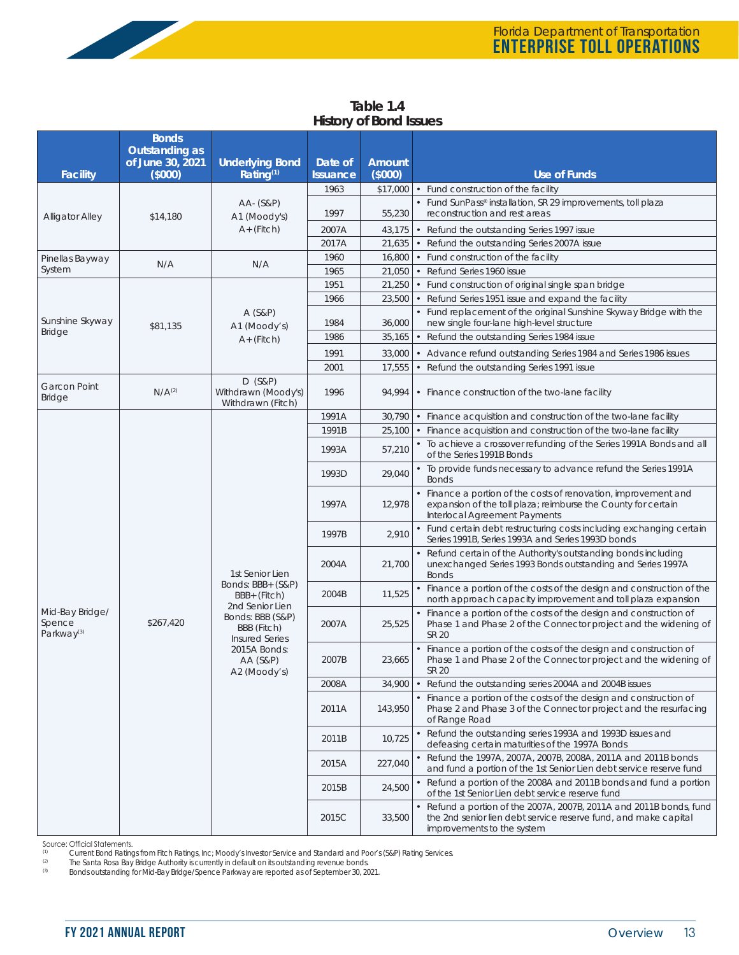| <b>Facility</b>                      | <b>Bonds</b><br>Outstanding as<br>of June 30, 2021<br>(5000) | <b>Underlying Bond</b><br>Rating $(1)$                | Date of<br><b>Issuance</b> | <b>Amount</b><br>(5000) | <b>Use of Funds</b>                                                                                             |
|--------------------------------------|--------------------------------------------------------------|-------------------------------------------------------|----------------------------|-------------------------|-----------------------------------------------------------------------------------------------------------------|
|                                      |                                                              |                                                       | 1963                       | \$17,000                | • Fund construction of the facility                                                                             |
| <b>Alligator Alley</b>               | \$14,180                                                     | AA- (S&P)<br>A1 (Moody's)<br>$A+$ (Fitch)             | 1997                       | 55,230                  | • Fund SunPass® installation, SR 29 improvements, toll plaza<br>reconstruction and rest areas                   |
|                                      |                                                              |                                                       | 2007A                      | 43,175                  | • Refund the outstanding Series 1997 issue                                                                      |
|                                      |                                                              |                                                       | 2017A                      | 21,635                  | • Refund the outstanding Series 2007A issue                                                                     |
| Pinellas Bayway                      | N/A                                                          | N/A                                                   | 1960                       | 16,800                  | • Fund construction of the facility                                                                             |
| System                               |                                                              |                                                       | 1965                       | 21,050                  | • Refund Series 1960 issue                                                                                      |
|                                      |                                                              |                                                       | 1951                       | 21,250                  | • Fund construction of original single span bridge                                                              |
|                                      |                                                              |                                                       | 1966                       | 23,500                  | • Refund Series 1951 issue and expand the facility                                                              |
| Sunshine Skyway                      | \$81,135                                                     | $A(S\&P)$<br>A1 (Moody's)<br>$A+$ (Fitch)             | 1984                       | 36,000                  | • Fund replacement of the original Sunshine Skyway Bridge with the<br>new single four-lane high-level structure |
| <b>Bridge</b>                        |                                                              |                                                       | 1986                       | 35,165                  | Refund the outstanding Series 1984 issue<br>$\bullet$                                                           |
|                                      |                                                              |                                                       | 1991                       | 33,000                  | • Advance refund outstanding Series 1984 and Series 1986 issues                                                 |
|                                      |                                                              |                                                       | 2001                       | 17,555                  | • Refund the outstanding Series 1991 issue                                                                      |
| <b>Garcon Point</b><br><b>Bridge</b> | N/A <sup>(2)</sup>                                           | $D$ (S&P)<br>Withdrawn (Moody's)<br>Withdrawn (Fitch) | 1996                       | 94.994                  | • Finance construction of the two-lane facility                                                                 |
|                                      |                                                              |                                                       | 1991A                      | 30,790                  | • Finance acquisition and construction of the two-lane facility                                                 |
|                                      |                                                              |                                                       | 1991B                      | 25,100                  | • Finance acquisition and construction of the two-lane facility                                                 |

**Table 1.4 History of Bond Issues**

|                                                     |                    |                                                                                                                                    | 2001  | 17,555  | • Refund the outstanding Series 1991 issue                                                                                                                           |
|-----------------------------------------------------|--------------------|------------------------------------------------------------------------------------------------------------------------------------|-------|---------|----------------------------------------------------------------------------------------------------------------------------------------------------------------------|
| <b>Garcon Point</b><br><b>Bridge</b>                | N/A <sup>(2)</sup> | D (S&P)<br>Withdrawn (Moody's)<br>Withdrawn (Fitch)                                                                                | 1996  | 94,994  | • Finance construction of the two-lane facility                                                                                                                      |
|                                                     |                    |                                                                                                                                    | 1991A | 30,790  | • Finance acquisition and construction of the two-lane facility                                                                                                      |
|                                                     |                    |                                                                                                                                    | 1991B | 25,100  | Finance acquisition and construction of the two-lane facility                                                                                                        |
|                                                     |                    |                                                                                                                                    | 1993A | 57,210  | • To achieve a crossover refunding of the Series 1991A Bonds and all<br>of the Series 1991B Bonds                                                                    |
|                                                     |                    |                                                                                                                                    | 1993D | 29,040  | • To provide funds necessary to advance refund the Series 1991A<br><b>Bonds</b>                                                                                      |
|                                                     |                    |                                                                                                                                    | 1997A | 12,978  | • Finance a portion of the costs of renovation, improvement and<br>expansion of the toll plaza; reimburse the County for certain<br>Interlocal Agreement Payments    |
|                                                     |                    |                                                                                                                                    | 1997B | 2,910   | • Fund certain debt restructuring costs including exchanging certain<br>Series 1991B, Series 1993A and Series 1993D bonds                                            |
|                                                     |                    | 1st Senior Lien                                                                                                                    | 2004A | 21,700  | • Refund certain of the Authority's outstanding bonds including<br>unexchanged Series 1993 Bonds outstanding and Series 1997A<br><b>Bonds</b>                        |
|                                                     | \$267,420          | Bonds: BBB+ (S&P)<br>BBB+ (Fitch)                                                                                                  | 2004B | 11,525  | • Finance a portion of the costs of the design and construction of the<br>north approach capacity improvement and toll plaza expansion                               |
| Mid-Bay Bridge/<br>Spence<br>Parkway <sup>(3)</sup> |                    | 2nd Senior Lien<br>Bonds: BBB (S&P)<br>BBB (Fitch)<br><b>Insured Series</b><br>2015A Bonds:<br><b>AA (S&amp;P)</b><br>A2 (Moody's) | 2007A | 25,525  | • Finance a portion of the costs of the design and construction of<br>Phase 1 and Phase 2 of the Connector project and the widening of<br>SR 20                      |
|                                                     |                    |                                                                                                                                    | 2007B | 23,665  | • Finance a portion of the costs of the design and construction of<br>Phase 1 and Phase 2 of the Connector project and the widening of<br><b>SR 20</b>               |
|                                                     |                    |                                                                                                                                    | 2008A | 34,900  | • Refund the outstanding series 2004A and 2004B issues                                                                                                               |
|                                                     |                    |                                                                                                                                    | 2011A | 143,950 | • Finance a portion of the costs of the design and construction of<br>Phase 2 and Phase 3 of the Connector project and the resurfacing<br>of Range Road              |
|                                                     |                    |                                                                                                                                    | 2011B | 10,725  | • Refund the outstanding series 1993A and 1993D issues and<br>defeasing certain maturities of the 1997A Bonds                                                        |
|                                                     |                    |                                                                                                                                    | 2015A | 227,040 | • Refund the 1997A, 2007A, 2007B, 2008A, 2011A and 2011B bonds<br>and fund a portion of the 1st Senior Lien debt service reserve fund                                |
|                                                     |                    |                                                                                                                                    | 2015B | 24,500  | • Refund a portion of the 2008A and 2011B bonds and fund a portion<br>of the 1st Senior Lien debt service reserve fund                                               |
|                                                     |                    |                                                                                                                                    | 2015C | 33,500  | • Refund a portion of the 2007A, 2007B, 2011A and 2011B bonds, fund<br>the 2nd senior lien debt service reserve fund, and make capital<br>improvements to the system |

Source: Official Statements.<br>
Current Bond Rating

<sup>(1)</sup> Current Bond Ratings from Fitch Ratings, Inc; Moody's Investor Service and Standard and Poor's (S&P) Rating Services.<br><sup>(2)</sup> The Santa Rosa Bay Bridge Authority is currently in default on its outstanding revenue bonds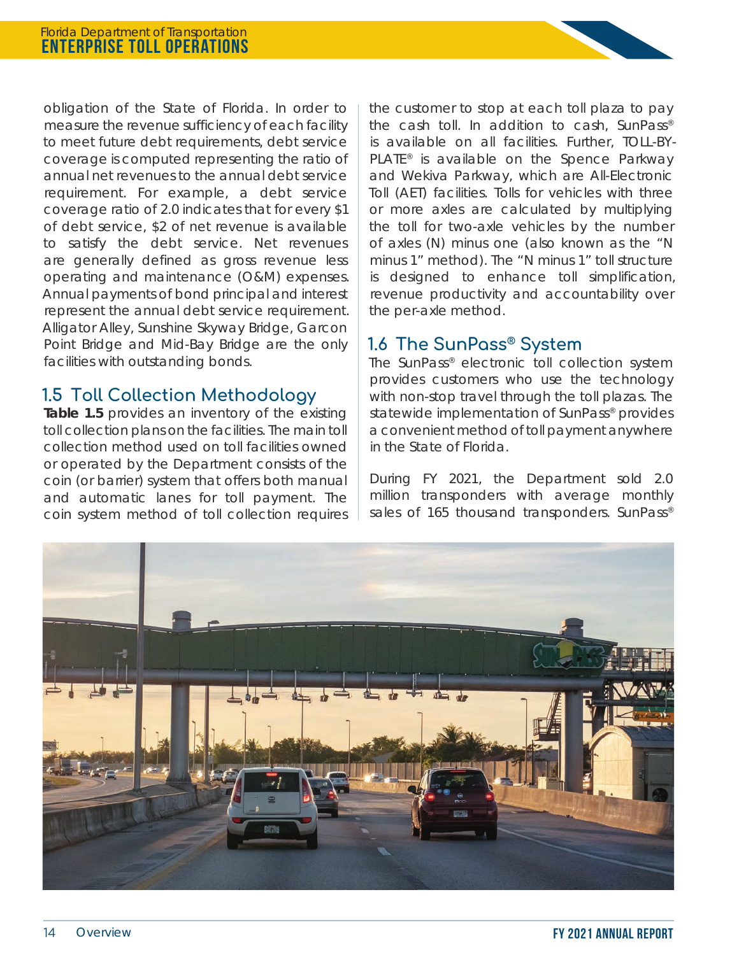obligation of the State of Florida. In order to measure the revenue sufficiency of each facility to meet future debt requirements, debt service coverage is computed representing the ratio of annual net revenues to the annual debt service requirement. For example, a debt service coverage ratio of 2.0 indicates that for every \$1 of debt service, \$2 of net revenue is available to satisfy the debt service. Net revenues are generally defined as gross revenue less operating and maintenance (O&M) expenses. Annual payments of bond principal and interest represent the annual debt service requirement. Alligator Alley, Sunshine Skyway Bridge, Garcon Point Bridge and Mid-Bay Bridge are the only facilities with outstanding bonds.

## **1.5 Toll Collection Methodology**

Table 1.5 provides an inventory of the existing toll collection plans on the facilities. The main toll collection method used on toll facilities owned or operated by the Department consists of the coin (or barrier) system that offers both manual and automatic lanes for toll payment. The coin system method of toll collection requires the customer to stop at each toll plaza to pay the cash toll. In addition to cash, SunPass® is available on all facilities. Further, TOLL-BY-PLATE<sup>®</sup> is available on the Spence Parkway and Wekiva Parkway, which are All-Electronic Toll (AET) facilities. Tolls for vehicles with three or more axles are calculated by multiplying the toll for two-axle vehicles by the number of axles (N) minus one (also known as the "N minus 1" method). The "N minus 1" toll structure is designed to enhance toll simplification, revenue productivity and accountability over the per-axle method.

## **1.6 The SunPass® System**

The SunPass® electronic toll collection system provides customers who use the technology with non-stop travel through the toll plazas. The statewide implementation of SunPass<sup>®</sup> provides a convenient method of toll payment anywhere in the State of Florida.

During FY 2021, the Department sold 2.0 million transponders with average monthly sales of 165 thousand transponders. SunPass®

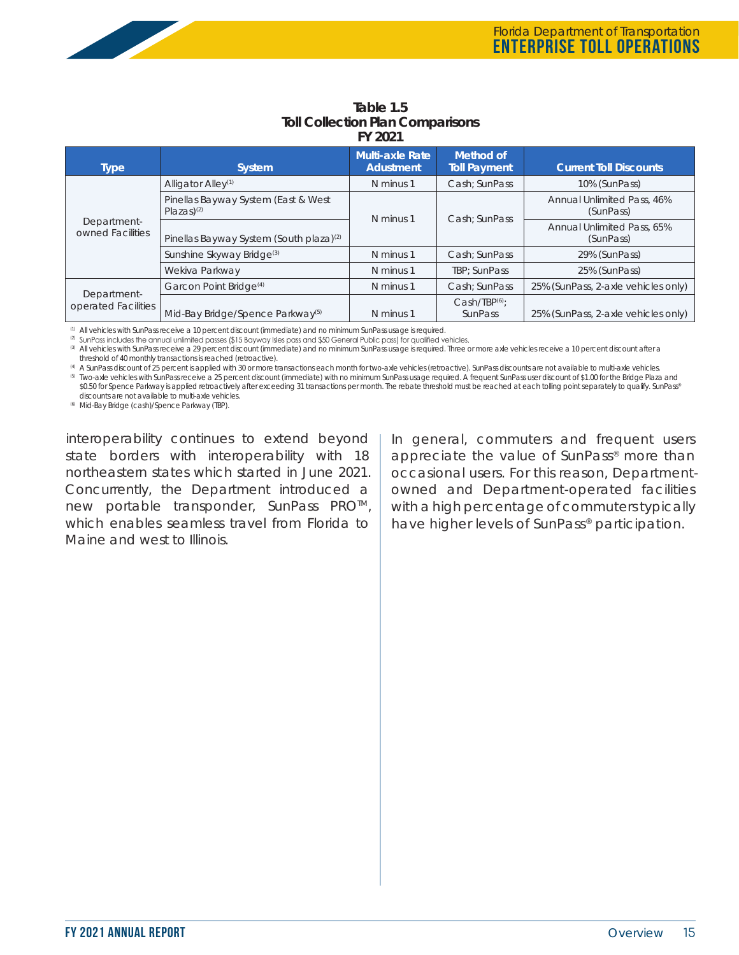

| <b>Type</b>                        | <b>System</b>                                                   | <b>Multi-axle Rate</b><br><b>Adustment</b> | Method of<br><b>Toll Payment</b>     | <b>Current Toll Discounts</b>                  |
|------------------------------------|-----------------------------------------------------------------|--------------------------------------------|--------------------------------------|------------------------------------------------|
|                                    | Alligator Alley <sup>(1)</sup>                                  | N minus 1                                  | Cash: SunPass                        | 10% (SunPass)                                  |
| Department-<br>owned Facilities    | Pinellas Bayway System (East & West<br>$Plazas)$ <sup>(2)</sup> |                                            |                                      | <b>Annual Unlimited Pass, 46%</b><br>(SunPass) |
|                                    | Pinellas Bayway System (South plaza) <sup>(2)</sup>             | N minus 1                                  | Cash: SunPass                        | Annual Unlimited Pass, 65%<br>(SunPass)        |
|                                    | Sunshine Skyway Bridge <sup>(3)</sup>                           | N minus 1                                  | Cash: SunPass                        | 29% (SunPass)                                  |
|                                    | Wekiva Parkway                                                  | N minus 1                                  | TBP: SunPass                         | 25% (SunPass)                                  |
|                                    | Garcon Point Bridge <sup>(4)</sup>                              | N minus 1                                  | Cash: SunPass                        | 25% (SunPass, 2-axle vehicles only)            |
| Department-<br>operated Facilities | Mid-Bay Bridge/Spence Parkway <sup>(5)</sup>                    | N minus 1                                  | Cash/IBP <sup>(6)</sup> )<br>SunPass | 25% (SunPass, 2-axle vehicles only)            |

#### **Table 1.5 Toll Collection Plan Comparisons FY 2021**

(1) All vehicles with SunPass receive a 10 percent discount (immediate) and no minimum SunPass usage is required.

(2) SunPass includes the annual unlimited passes (\$15 Bayway Isles pass and \$50 General Public pass) for qualified vehicles.

(3) All vehicles with SunPass receive a 29 percent discount (immediate) and no minimum SunPass usage is required. Three or more axle vehicles receive a 10 percent discount after a threshold of 40 monthly transactions is reached (retroactive).

(4) A SunPass discount of 25 percent is applied with 30 or more transactions each month for two-axle vehicles (retroactive). SunPass discounts are not available to multi-axle vehicles.

(5) Two-axle vehicles with SunPass receive a 25 percent discount (immediate) with no minimum SunPass usage required. A frequent SunPass user discount of \$1.00 for the Bridge Plaza and \$0.50 for Spence Parkway is applied retroactively after exceeding 31 transactions per month. The rebate threshold must be reached at each tolling point separately to qualify. SunPass® discounts are not available to multi-axle vehicles.

(6) Mid-Bay Bridge (cash)/Spence Parkway (TBP).

interoperability continues to extend beyond state borders with interoperability with 18 northeastern states which started in June 2021. Concurrently, the Department introduced a new portable transponder, SunPass PRO<sup>™</sup>, which enables seamless travel from Florida to Maine and west to Illinois.

In general, commuters and frequent users appreciate the value of SunPass® more than occasional users. For this reason, Departmentowned and Department-operated facilities with a high percentage of commuters typically have higher levels of SunPass<sup>®</sup> participation.